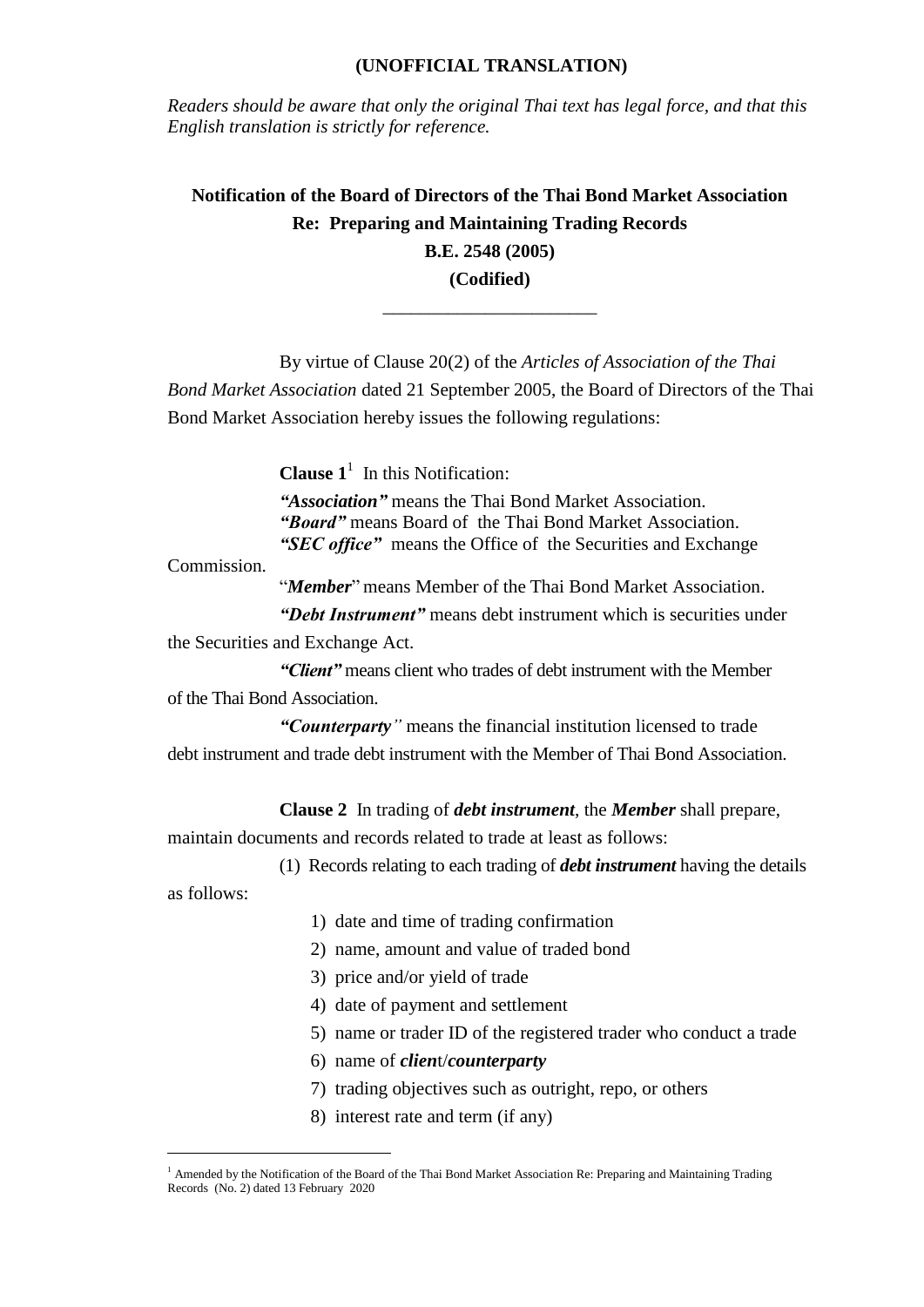## **(UNOFFICIAL TRANSLATION)**

*Readers should be aware that only the original Thai text has legal force, and that this English translation is strictly for reference.*

**Notification of the Board of Directors of the Thai Bond Market Association Re: Preparing and Maintaining Trading Records B.E. 2548 (2005) (Codified)**

\_\_\_\_\_\_\_\_\_\_\_\_\_\_\_\_\_\_\_\_\_\_\_

By virtue of Clause 20(2) of the *Articles of Association of the Thai* 

*Bond Market Association* dated 21 September 2005, the Board of Directors of the Thai Bond Market Association hereby issues the following regulations:

**Clause**  $1^1$  In this Notification:

*"Association"* means the Thai Bond Market Association. *"Board"* means Board of the Thai Bond Market Association. *"SEC office"* means the Office of the Securities and Exchange

Commission.

"*Member*" means Member of the Thai Bond Market Association.

*"Debt Instrument"* means debt instrument which is securities under

the Securities and Exchange Act.

*"Client"* means client who trades of debt instrument with the Member of the Thai Bond Association.

*"Counterparty"* means the financial institution licensed to trade debt instrument and trade debt instrument with the Member of Thai Bond Association.

**Clause 2** In trading of *debt instrument*, the *Member* shall prepare,

maintain documents and records related to trade at least as follows:

(1) Records relating to each trading of *debt instrument* having the details

as follows:

 $\overline{a}$ 

- 1) date and time of trading confirmation
- 2) name, amount and value of traded bond
- 3) price and/or yield of trade
- 4) date of payment and settlement
- 5) name or trader ID of the registered trader who conduct a trade
- 6) name of *clien*t/*counterparty*
- 7) trading objectives such as outright, repo, or others
- 8) interest rate and term (if any)

<sup>&</sup>lt;sup>1</sup> Amended by the Notification of the Board of the Thai Bond Market Association Re: Preparing and Maintaining Trading Records (No. 2) dated 13 February 2020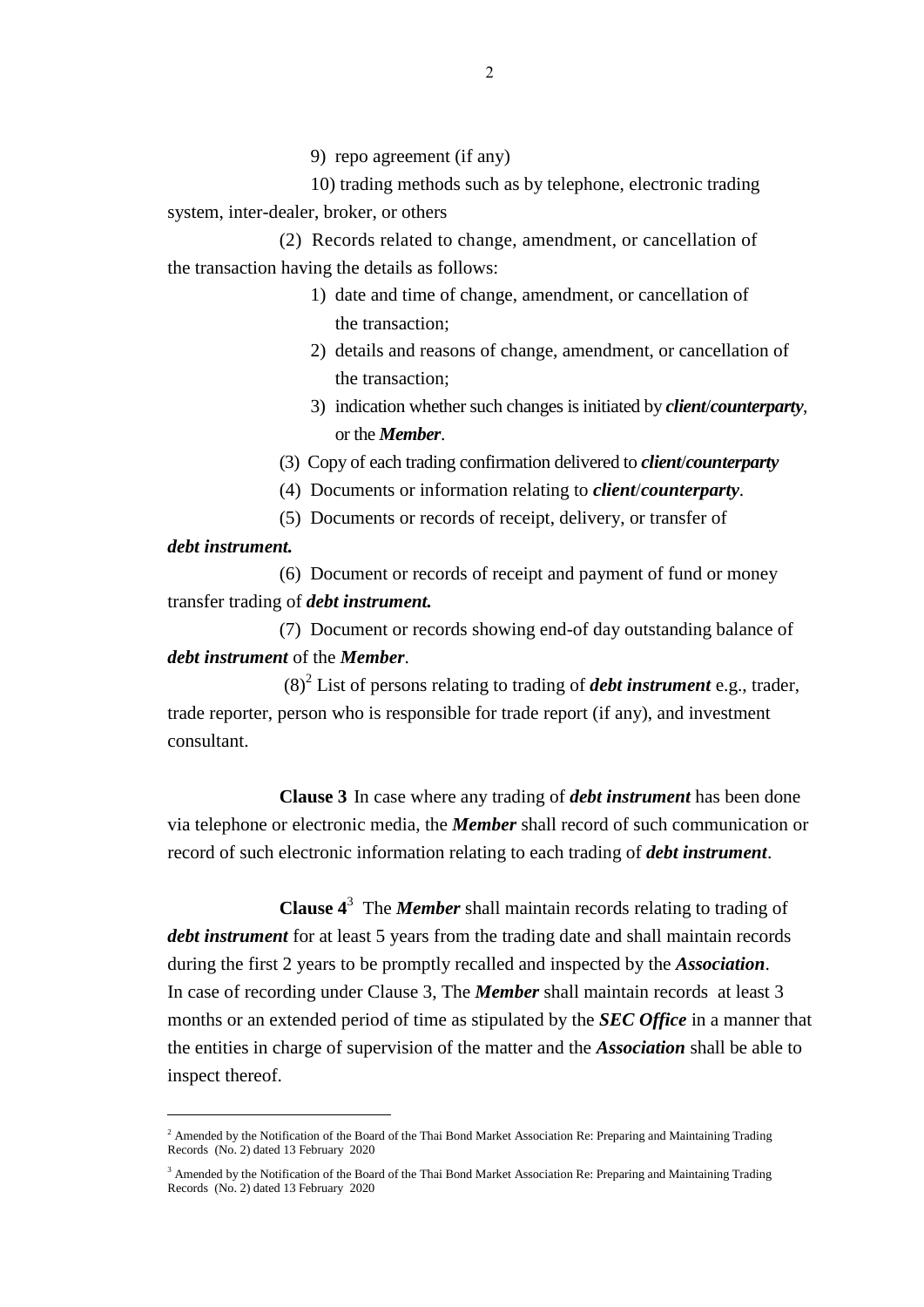9) repo agreement (if any)

10) trading methods such as by telephone, electronic trading system, inter-dealer, broker, or others

(2) Records related to change, amendment, or cancellation of the transaction having the details as follows:

- 1) date and time of change, amendment, or cancellation of the transaction;
- 2) details and reasons of change, amendment, or cancellation of the transaction;
- 3) indication whether such changes is initiated by *client*/*counterparty*, or the *Member*.
- (3) Copy of each trading confirmation delivered to *client*/*counterparty*
- (4) Documents or information relating to *client*/*counterparty*.
- (5) Documents or records of receipt, delivery, or transfer of

## *debt instrument.*

 $\overline{a}$ 

(6) Document or records of receipt and payment of fund or money transfer trading of *debt instrument.* 

(7) Document or records showing end-of day outstanding balance of *debt instrument* of the *Member*.

 $(8)^{2}$  List of persons relating to trading of *debt instrument* e.g., trader, trade reporter, person who is responsible for trade report (if any), and investment consultant.

**Clause 3** In case where any trading of *debt instrument* has been done via telephone or electronic media, the *Member* shall record of such communication or record of such electronic information relating to each trading of *debt instrument*.

**Clause 4**<sup>3</sup> The *Member* shall maintain records relating to trading of *debt instrument* for at least 5 years from the trading date and shall maintain records during the first 2 years to be promptly recalled and inspected by the *Association*. In case of recording under Clause 3, The *Member* shall maintain records at least 3 months or an extended period of time as stipulated by the *SEC Office* in a manner that the entities in charge of supervision of the matter and the *Association* shall be able to inspect thereof.

<sup>&</sup>lt;sup>2</sup> Amended by the Notification of the Board of the Thai Bond Market Association Re: Preparing and Maintaining Trading Records (No. 2) dated 13 February 2020

<sup>&</sup>lt;sup>3</sup> Amended by the Notification of the Board of the Thai Bond Market Association Re: Preparing and Maintaining Trading Records (No. 2) dated 13 February 2020